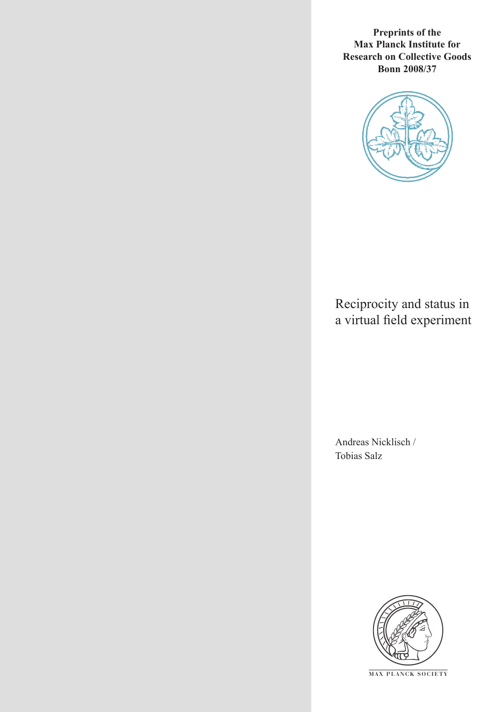**Preprints of the Max Planck Institute for Research on Collective Goods Bonn 2008/37**



# Reciprocity and status in a virtual field experiment

Andreas Nicklisch / Tobias Salz



**M AX P L A N C K S O C I E T Y**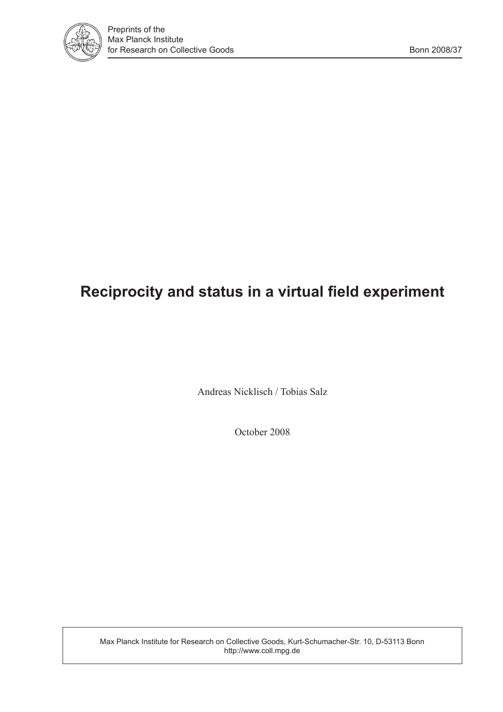

# **Reciprocity and status in a virtual field experiment**

Andreas Nicklisch / Tobias Salz

October 2008

Max Planck Institute for Research on Collective Goods, Kurt-Schumacher-Str. 10, D-53113 Bonn http://www.coll.mpg.de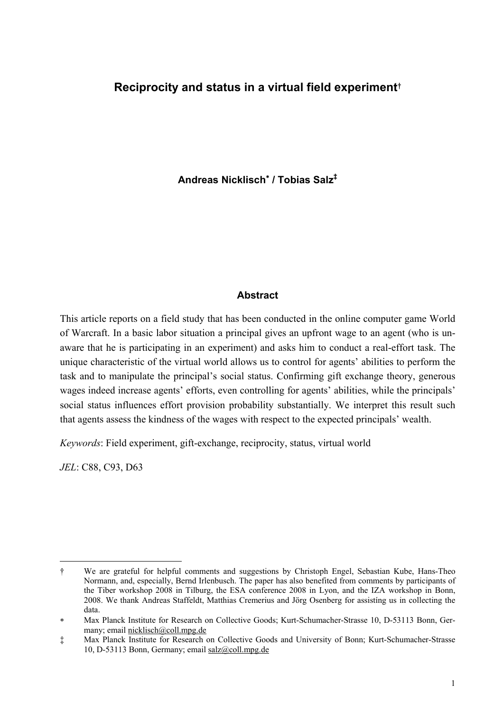#### **Reciprocity and status in a virtual field experiment**†

**Andreas Nicklisch**<sup>∗</sup>  **/ Tobias Salz‡**

#### **Abstract**

This article reports on a field study that has been conducted in the online computer game World of Warcraft. In a basic labor situation a principal gives an upfront wage to an agent (who is unaware that he is participating in an experiment) and asks him to conduct a real-effort task. The unique characteristic of the virtual world allows us to control for agents' abilities to perform the task and to manipulate the principal's social status. Confirming gift exchange theory, generous wages indeed increase agents' efforts, even controlling for agents' abilities, while the principals' social status influences effort provision probability substantially. We interpret this result such that agents assess the kindness of the wages with respect to the expected principals' wealth.

*Keywords*: Field experiment, gift-exchange, reciprocity, status, virtual world

*JEL*: C88, C93, D63

j

<sup>†</sup> We are grateful for helpful comments and suggestions by Christoph Engel, Sebastian Kube, Hans-Theo Normann, and, especially, Bernd Irlenbusch. The paper has also benefited from comments by participants of the Tiber workshop 2008 in Tilburg, the ESA conference 2008 in Lyon, and the IZA workshop in Bonn, 2008. We thank Andreas Staffeldt, Matthias Cremerius and Jörg Osenberg for assistíng us in collecting the data.

<sup>∗</sup> Max Planck Institute for Research on Collective Goods; Kurt-Schumacher-Strasse 10, D-53113 Bonn, Germany; email nicklisch@coll.mpg.de

<sup>‡</sup> Max Planck Institute for Research on Collective Goods and University of Bonn; Kurt-Schumacher-Strasse 10, D-53113 Bonn, Germany; email salz@coll.mpg.de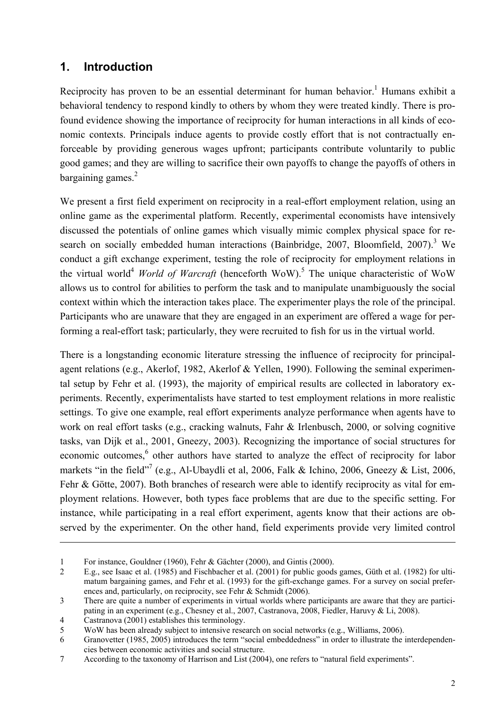### **1. Introduction**

Reciprocity has proven to be an essential determinant for human behavior.<sup>1</sup> Humans exhibit a behavioral tendency to respond kindly to others by whom they were treated kindly. There is profound evidence showing the importance of reciprocity for human interactions in all kinds of economic contexts. Principals induce agents to provide costly effort that is not contractually enforceable by providing generous wages upfront; participants contribute voluntarily to public good games; and they are willing to sacrifice their own payoffs to change the payoffs of others in bargaining games. $2$ 

We present a first field experiment on reciprocity in a real-effort employment relation, using an online game as the experimental platform. Recently, experimental economists have intensively discussed the potentials of online games which visually mimic complex physical space for research on socially embedded human interactions (Bainbridge, 2007, Bloomfield, 2007).<sup>3</sup> We conduct a gift exchange experiment, testing the role of reciprocity for employment relations in the virtual world<sup>4</sup> *World of Warcraft* (henceforth WoW).<sup>5</sup> The unique characteristic of WoW allows us to control for abilities to perform the task and to manipulate unambiguously the social context within which the interaction takes place. The experimenter plays the role of the principal. Participants who are unaware that they are engaged in an experiment are offered a wage for performing a real-effort task; particularly, they were recruited to fish for us in the virtual world.

There is a longstanding economic literature stressing the influence of reciprocity for principalagent relations (e.g., Akerlof, 1982, Akerlof & Yellen, 1990). Following the seminal experimental setup by Fehr et al. (1993), the majority of empirical results are collected in laboratory experiments. Recently, experimentalists have started to test employment relations in more realistic settings. To give one example, real effort experiments analyze performance when agents have to work on real effort tasks (e.g., cracking walnuts, Fahr & Irlenbusch, 2000, or solving cognitive tasks, van Dijk et al., 2001, Gneezy, 2003). Recognizing the importance of social structures for economic outcomes,<sup>6</sup> other authors have started to analyze the effect of reciprocity for labor markets "in the field"<sup>7</sup> (e.g., Al-Ubaydli et al, 2006, Falk & Ichino, 2006, Gneezy & List, 2006, Fehr & Götte, 2007). Both branches of research were able to identify reciprocity as vital for employment relations. However, both types face problems that are due to the specific setting. For instance, while participating in a real effort experiment, agents know that their actions are observed by the experimenter. On the other hand, field experiments provide very limited control

 $\overline{a}$ 

<sup>1</sup> For instance, Gouldner (1960), Fehr & Gächter (2000), and Gintis (2000).

<sup>2</sup> E.g., see Isaac et al. (1985) and Fischbacher et al. (2001) for public goods games, Güth et al. (1982) for ultimatum bargaining games, and Fehr et al. (1993) for the gift-exchange games. For a survey on social preferences and, particularly, on reciprocity, see Fehr & Schmidt (2006).

<sup>3</sup> There are quite a number of experiments in virtual worlds where participants are aware that they are participating in an experiment (e.g., Chesney et al., 2007, Castranova, 2008, Fiedler, Haruvy & Li, 2008).

<sup>4</sup> Castranova (2001) establishes this terminology.

<sup>5</sup> WoW has been already subject to intensive research on social networks (e.g., Williams, 2006).

<sup>6</sup> Granovetter (1985, 2005) introduces the term "social embeddedness" in order to illustrate the interdependencies between economic activities and social structure.

<sup>7</sup> According to the taxonomy of Harrison and List (2004), one refers to "natural field experiments".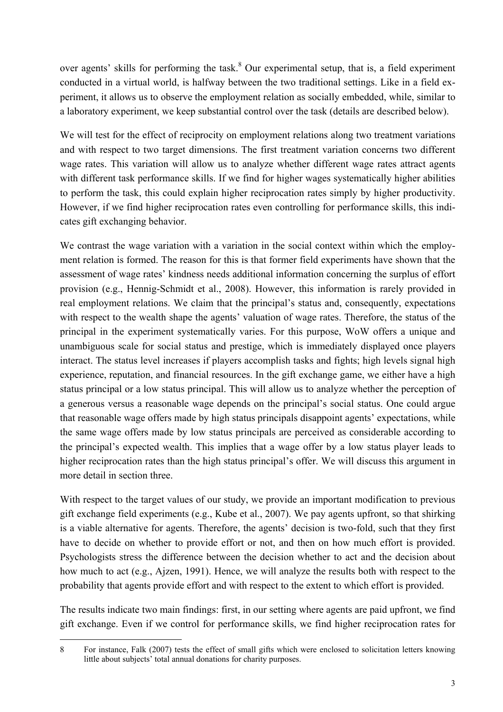over agents' skills for performing the task.<sup>8</sup> Our experimental setup, that is, a field experiment conducted in a virtual world, is halfway between the two traditional settings. Like in a field experiment, it allows us to observe the employment relation as socially embedded, while, similar to a laboratory experiment, we keep substantial control over the task (details are described below).

We will test for the effect of reciprocity on employment relations along two treatment variations and with respect to two target dimensions. The first treatment variation concerns two different wage rates. This variation will allow us to analyze whether different wage rates attract agents with different task performance skills. If we find for higher wages systematically higher abilities to perform the task, this could explain higher reciprocation rates simply by higher productivity. However, if we find higher reciprocation rates even controlling for performance skills, this indicates gift exchanging behavior.

We contrast the wage variation with a variation in the social context within which the employment relation is formed. The reason for this is that former field experiments have shown that the assessment of wage rates' kindness needs additional information concerning the surplus of effort provision (e.g., Hennig-Schmidt et al., 2008). However, this information is rarely provided in real employment relations. We claim that the principal's status and, consequently, expectations with respect to the wealth shape the agents' valuation of wage rates. Therefore, the status of the principal in the experiment systematically varies. For this purpose, WoW offers a unique and unambiguous scale for social status and prestige, which is immediately displayed once players interact. The status level increases if players accomplish tasks and fights; high levels signal high experience, reputation, and financial resources. In the gift exchange game, we either have a high status principal or a low status principal. This will allow us to analyze whether the perception of a generous versus a reasonable wage depends on the principal's social status. One could argue that reasonable wage offers made by high status principals disappoint agents' expectations, while the same wage offers made by low status principals are perceived as considerable according to the principal's expected wealth. This implies that a wage offer by a low status player leads to higher reciprocation rates than the high status principal's offer. We will discuss this argument in more detail in section three.

With respect to the target values of our study, we provide an important modification to previous gift exchange field experiments (e.g., Kube et al., 2007). We pay agents upfront, so that shirking is a viable alternative for agents. Therefore, the agents' decision is two-fold, such that they first have to decide on whether to provide effort or not, and then on how much effort is provided. Psychologists stress the difference between the decision whether to act and the decision about how much to act (e.g., Ajzen, 1991). Hence, we will analyze the results both with respect to the probability that agents provide effort and with respect to the extent to which effort is provided.

The results indicate two main findings: first, in our setting where agents are paid upfront, we find gift exchange. Even if we control for performance skills, we find higher reciprocation rates for

 $\overline{a}$ 8 For instance, Falk (2007) tests the effect of small gifts which were enclosed to solicitation letters knowing little about subjects' total annual donations for charity purposes.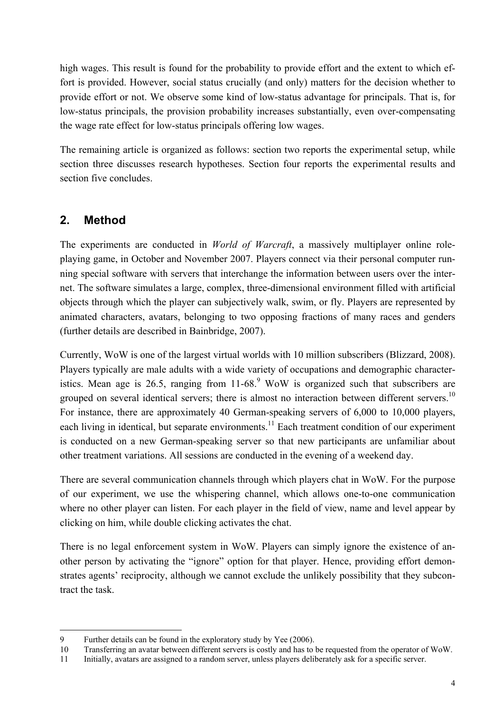high wages. This result is found for the probability to provide effort and the extent to which effort is provided. However, social status crucially (and only) matters for the decision whether to provide effort or not. We observe some kind of low-status advantage for principals. That is, for low-status principals, the provision probability increases substantially, even over-compensating the wage rate effect for low-status principals offering low wages.

The remaining article is organized as follows: section two reports the experimental setup, while section three discusses research hypotheses. Section four reports the experimental results and section five concludes.

#### **2. Method**

-

The experiments are conducted in *World of Warcraft*, a massively multiplayer online roleplaying game, in October and November 2007. Players connect via their personal computer running special software with servers that interchange the information between users over the internet. The software simulates a large, complex, three-dimensional environment filled with artificial objects through which the player can subjectively walk, swim, or fly. Players are represented by animated characters, avatars, belonging to two opposing fractions of many races and genders (further details are described in Bainbridge, 2007).

Currently, WoW is one of the largest virtual worlds with 10 million subscribers (Blizzard, 2008). Players typically are male adults with a wide variety of occupations and demographic characteristics. Mean age is 26.5, ranging from  $11{\text -}68$ . WoW is organized such that subscribers are grouped on several identical servers; there is almost no interaction between different servers.<sup>10</sup> For instance, there are approximately 40 German-speaking servers of 6,000 to 10,000 players, each living in identical, but separate environments.<sup>11</sup> Each treatment condition of our experiment is conducted on a new German-speaking server so that new participants are unfamiliar about other treatment variations. All sessions are conducted in the evening of a weekend day.

There are several communication channels through which players chat in WoW. For the purpose of our experiment, we use the whispering channel, which allows one-to-one communication where no other player can listen. For each player in the field of view, name and level appear by clicking on him, while double clicking activates the chat.

There is no legal enforcement system in WoW. Players can simply ignore the existence of another person by activating the "ignore" option for that player. Hence, providing effort demonstrates agents' reciprocity, although we cannot exclude the unlikely possibility that they subcontract the task.

<sup>9</sup> Further details can be found in the exploratory study by Yee (2006).

<sup>10</sup> Transferring an avatar between different servers is costly and has to be requested from the operator of WoW.

<sup>11</sup> Initially, avatars are assigned to a random server, unless players deliberately ask for a specific server.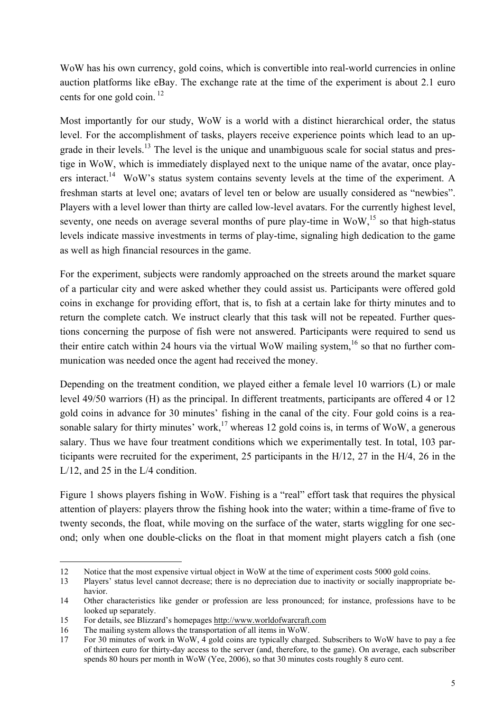WoW has his own currency, gold coins, which is convertible into real-world currencies in online auction platforms like eBay. The exchange rate at the time of the experiment is about 2.1 euro cents for one gold coin.  $^{12}$ 

Most importantly for our study, WoW is a world with a distinct hierarchical order, the status level. For the accomplishment of tasks, players receive experience points which lead to an upgrade in their levels.<sup>13</sup> The level is the unique and unambiguous scale for social status and prestige in WoW, which is immediately displayed next to the unique name of the avatar, once players interact.<sup>14</sup> WoW's status system contains seventy levels at the time of the experiment. A freshman starts at level one; avatars of level ten or below are usually considered as "newbies". Players with a level lower than thirty are called low-level avatars. For the currently highest level, seventy, one needs on average several months of pure play-time in  $W_0W<sub>15</sub>$  so that high-status levels indicate massive investments in terms of play-time, signaling high dedication to the game as well as high financial resources in the game.

For the experiment, subjects were randomly approached on the streets around the market square of a particular city and were asked whether they could assist us. Participants were offered gold coins in exchange for providing effort, that is, to fish at a certain lake for thirty minutes and to return the complete catch. We instruct clearly that this task will not be repeated. Further questions concerning the purpose of fish were not answered. Participants were required to send us their entire catch within 24 hours via the virtual WoW mailing system,<sup>16</sup> so that no further communication was needed once the agent had received the money.

Depending on the treatment condition, we played either a female level 10 warriors (L) or male level 49/50 warriors (H) as the principal. In different treatments, participants are offered 4 or 12 gold coins in advance for 30 minutes' fishing in the canal of the city. Four gold coins is a reasonable salary for thirty minutes' work,<sup>17</sup> whereas 12 gold coins is, in terms of WoW, a generous salary. Thus we have four treatment conditions which we experimentally test. In total, 103 participants were recruited for the experiment, 25 participants in the H/12, 27 in the H/4, 26 in the L/12, and 25 in the L/4 condition.

Figure 1 shows players fishing in WoW. Fishing is a "real" effort task that requires the physical attention of players: players throw the fishing hook into the water; within a time-frame of five to twenty seconds, the float, while moving on the surface of the water, starts wiggling for one second; only when one double-clicks on the float in that moment might players catch a fish (one

j

<sup>12</sup> Notice that the most expensive virtual object in WoW at the time of experiment costs 5000 gold coins.

<sup>13</sup> Players' status level cannot decrease; there is no depreciation due to inactivity or socially inappropriate behavior.

<sup>14</sup> Other characteristics like gender or profession are less pronounced; for instance, professions have to be looked up separately.

<sup>15</sup> For details, see Blizzard's homepages http://www.worldofwarcraft.com

<sup>16</sup> The mailing system allows the transportation of all items in WoW.

<sup>17</sup> For 30 minutes of work in WoW, 4 gold coins are typically charged. Subscribers to WoW have to pay a fee of thirteen euro for thirty-day access to the server (and, therefore, to the game). On average, each subscriber spends 80 hours per month in WoW (Yee, 2006), so that 30 minutes costs roughly 8 euro cent.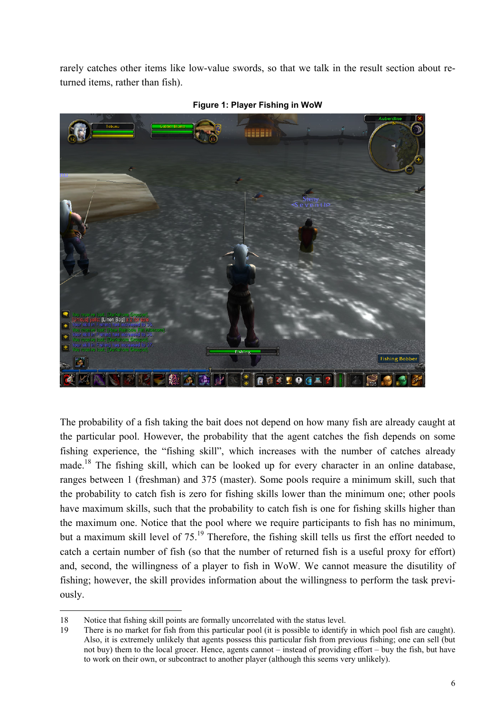rarely catches other items like low-value swords, so that we talk in the result section about returned items, rather than fish).



**Figure 1: Player Fishing in WoW** 

The probability of a fish taking the bait does not depend on how many fish are already caught at the particular pool. However, the probability that the agent catches the fish depends on some fishing experience, the "fishing skill", which increases with the number of catches already made.18 The fishing skill, which can be looked up for every character in an online database, ranges between 1 (freshman) and 375 (master). Some pools require a minimum skill, such that the probability to catch fish is zero for fishing skills lower than the minimum one; other pools have maximum skills, such that the probability to catch fish is one for fishing skills higher than the maximum one. Notice that the pool where we require participants to fish has no minimum, but a maximum skill level of 75.<sup>19</sup> Therefore, the fishing skill tells us first the effort needed to catch a certain number of fish (so that the number of returned fish is a useful proxy for effort) and, second, the willingness of a player to fish in WoW. We cannot measure the disutility of fishing; however, the skill provides information about the willingness to perform the task previously.

 $\overline{a}$ 

<sup>18</sup> Notice that fishing skill points are formally uncorrelated with the status level.

<sup>19</sup> There is no market for fish from this particular pool (it is possible to identify in which pool fish are caught). Also, it is extremely unlikely that agents possess this particular fish from previous fishing; one can sell (but not buy) them to the local grocer. Hence, agents cannot – instead of providing effort – buy the fish, but have to work on their own, or subcontract to another player (although this seems very unlikely).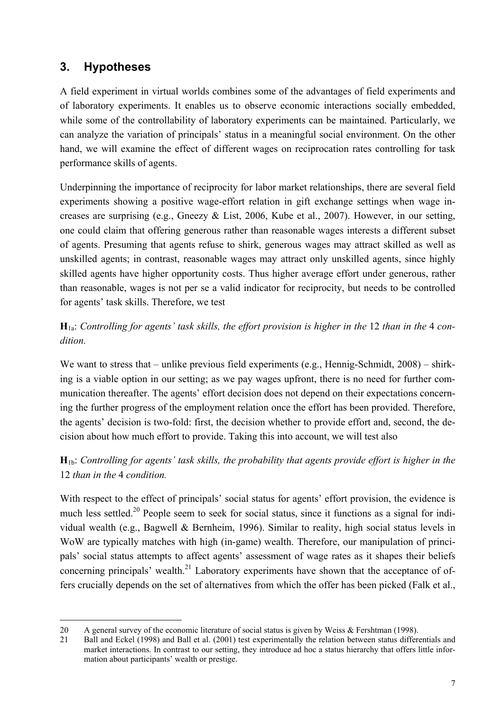## **3. Hypotheses**

A field experiment in virtual worlds combines some of the advantages of field experiments and of laboratory experiments. It enables us to observe economic interactions socially embedded, while some of the controllability of laboratory experiments can be maintained. Particularly, we can analyze the variation of principals' status in a meaningful social environment. On the other hand, we will examine the effect of different wages on reciprocation rates controlling for task performance skills of agents.

Underpinning the importance of reciprocity for labor market relationships, there are several field experiments showing a positive wage-effort relation in gift exchange settings when wage increases are surprising (e.g., Gneezy & List, 2006, Kube et al., 2007). However, in our setting, one could claim that offering generous rather than reasonable wages interests a different subset of agents. Presuming that agents refuse to shirk, generous wages may attract skilled as well as unskilled agents; in contrast, reasonable wages may attract only unskilled agents, since highly skilled agents have higher opportunity costs. Thus higher average effort under generous, rather than reasonable, wages is not per se a valid indicator for reciprocity, but needs to be controlled for agents' task skills. Therefore, we test

#### **H**1a: *Controlling for agents' task skills, the effort provision is higher in the* 12 *than in the* 4 *condition.*

We want to stress that – unlike previous field experiments (e.g., Hennig-Schmidt, 2008) – shirking is a viable option in our setting; as we pay wages upfront, there is no need for further communication thereafter. The agents' effort decision does not depend on their expectations concerning the further progress of the employment relation once the effort has been provided. Therefore, the agents' decision is two-fold: first, the decision whether to provide effort and, second, the decision about how much effort to provide. Taking this into account, we will test also

#### **H**1b: *Controlling for agents' task skills, the probability that agents provide effort is higher in the*  12 *than in the* 4 *condition.*

With respect to the effect of principals' social status for agents' effort provision, the evidence is much less settled.<sup>20</sup> People seem to seek for social status, since it functions as a signal for individual wealth (e.g., Bagwell & Bernheim, 1996). Similar to reality, high social status levels in WoW are typically matches with high (in-game) wealth. Therefore, our manipulation of principals' social status attempts to affect agents' assessment of wage rates as it shapes their beliefs concerning principals' wealth.<sup>21</sup> Laboratory experiments have shown that the acceptance of offers crucially depends on the set of alternatives from which the offer has been picked (Falk et al.,

j 20 A general survey of the economic literature of social status is given by Weiss & Fershtman (1998).

<sup>21</sup> Ball and Eckel (1998) and Ball et al. (2001) test experimentally the relation between status differentials and market interactions. In contrast to our setting, they introduce ad hoc a status hierarchy that offers little information about participants' wealth or prestige.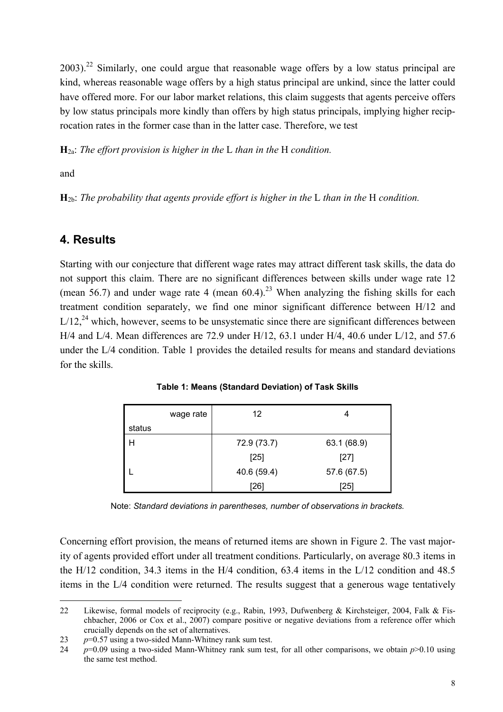$2003$ <sup>22</sup> Similarly, one could argue that reasonable wage offers by a low status principal are kind, whereas reasonable wage offers by a high status principal are unkind, since the latter could have offered more. For our labor market relations, this claim suggests that agents perceive offers by low status principals more kindly than offers by high status principals, implying higher reciprocation rates in the former case than in the latter case. Therefore, we test

**H**2a: *The effort provision is higher in the* L *than in the* H *condition.* 

and

**H**2b: *The probability that agents provide effort is higher in the* L *than in the* H *condition.* 

#### **4. Results**

Starting with our conjecture that different wage rates may attract different task skills, the data do not support this claim. There are no significant differences between skills under wage rate 12 (mean 56.7) and under wage rate 4 (mean  $60.4$ )<sup>23</sup> When analyzing the fishing skills for each treatment condition separately, we find one minor significant difference between H/12 and  $L/12$ <sup>24</sup> which, however, seems to be unsystematic since there are significant differences between H/4 and L/4. Mean differences are 72.9 under H/12, 63.1 under H/4, 40.6 under L/12, and 57.6 under the L/4 condition. Table 1 provides the detailed results for means and standard deviations for the skills.

|        | wage rate | 12          | 4           |
|--------|-----------|-------------|-------------|
| status |           |             |             |
|        |           | 72.9 (73.7) | 63.1 (68.9) |
|        |           | $[25]$      | $[27]$      |
|        |           | 40.6 (59.4) | 57.6 (67.5) |
|        |           | [26]        | [25]        |

**Table 1: Means (Standard Deviation) of Task Skills** 

Note: *Standard deviations in parentheses, number of observations in brackets.* 

Concerning effort provision, the means of returned items are shown in Figure 2. The vast majority of agents provided effort under all treatment conditions. Particularly, on average 80.3 items in the H/12 condition, 34.3 items in the H/4 condition, 63.4 items in the L/12 condition and 48.5 items in the L/4 condition were returned. The results suggest that a generous wage tentatively

 $\overline{a}$ 22 Likewise, formal models of reciprocity (e.g., Rabin, 1993, Dufwenberg & Kirchsteiger, 2004, Falk & Fischbacher, 2006 or Cox et al., 2007) compare positive or negative deviations from a reference offer which crucially depends on the set of alternatives.

<sup>23</sup> *p*=0.57 using a two-sided Mann-Whitney rank sum test.

<sup>24</sup> *p*=0.09 using a two-sided Mann-Whitney rank sum test, for all other comparisons, we obtain *p*>0.10 using the same test method.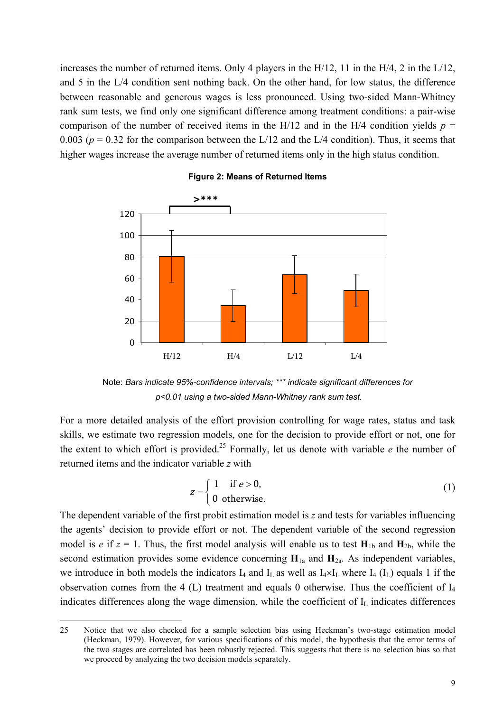increases the number of returned items. Only 4 players in the H/12, 11 in the H/4, 2 in the L/12, and 5 in the L/4 condition sent nothing back. On the other hand, for low status, the difference between reasonable and generous wages is less pronounced. Using two-sided Mann-Whitney rank sum tests, we find only one significant difference among treatment conditions: a pair-wise comparison of the number of received items in the H/12 and in the H/4 condition yields  $p =$ 0.003 ( $p = 0.32$  for the comparison between the L/12 and the L/4 condition). Thus, it seems that higher wages increase the average number of returned items only in the high status condition.



#### **Figure 2: Means of Returned Items**

Note: *Bars indicate 95%-confidence intervals; \*\*\* indicate significant differences for p<0.01 using a two-sided Mann-Whitney rank sum test.*

For a more detailed analysis of the effort provision controlling for wage rates, status and task skills, we estimate two regression models, one for the decision to provide effort or not, one for the extent to which effort is provided.<sup>25</sup> Formally, let us denote with variable  $e$  the number of returned items and the indicator variable *z* with

$$
z = \begin{cases} 1 & \text{if } e > 0, \\ 0 & \text{otherwise.} \end{cases}
$$
 (1)

The dependent variable of the first probit estimation model is *z* and tests for variables influencing the agents' decision to provide effort or not. The dependent variable of the second regression model is *e* if  $z = 1$ . Thus, the first model analysis will enable us to test  $H_{1b}$  and  $H_{2b}$ , while the second estimation provides some evidence concerning  $H_{1a}$  and  $H_{2a}$ . As independent variables, we introduce in both models the indicators  $I_4$  and  $I_L$  as well as  $I_4 \times I_L$  where  $I_4$  ( $I_L$ ) equals 1 if the observation comes from the 4 (L) treatment and equals 0 otherwise. Thus the coefficient of  $I_4$ indicates differences along the wage dimension, while the coefficient of  $I_L$  indicates differences

j

<sup>25</sup> Notice that we also checked for a sample selection bias using Heckman's two-stage estimation model (Heckman, 1979). However, for various specifications of this model, the hypothesis that the error terms of the two stages are correlated has been robustly rejected. This suggests that there is no selection bias so that we proceed by analyzing the two decision models separately.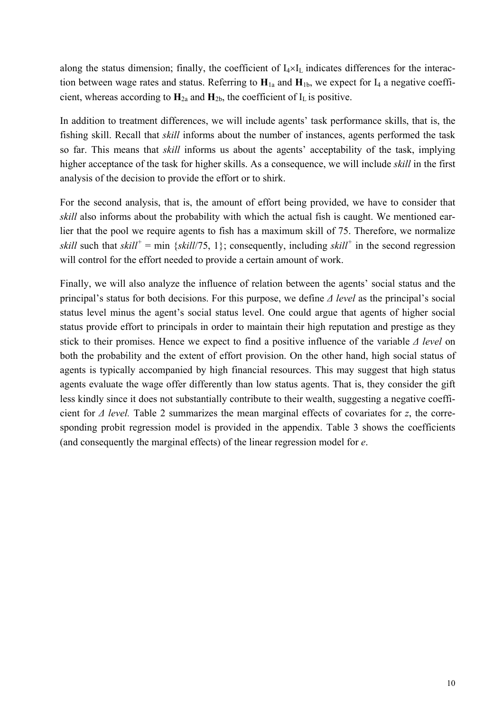along the status dimension; finally, the coefficient of  $I_4 \times I_L$  indicates differences for the interaction between wage rates and status. Referring to  $H_{1a}$  and  $H_{1b}$ , we expect for  $I_4$  a negative coefficient, whereas according to  $H_{2a}$  and  $H_{2b}$ , the coefficient of  $I_L$  is positive.

In addition to treatment differences, we will include agents' task performance skills, that is, the fishing skill. Recall that *skill* informs about the number of instances, agents performed the task so far. This means that *skill* informs us about the agents' acceptability of the task, implying higher acceptance of the task for higher skills. As a consequence, we will include *skill* in the first analysis of the decision to provide the effort or to shirk.

For the second analysis, that is, the amount of effort being provided, we have to consider that *skill* also informs about the probability with which the actual fish is caught. We mentioned earlier that the pool we require agents to fish has a maximum skill of 75. Therefore, we normalize *skill* such that *skill<sup>+</sup>* = min {*skill*/75, 1}; consequently, including *skill<sup>+</sup>* in the second regression will control for the effort needed to provide a certain amount of work.

Finally, we will also analyze the influence of relation between the agents' social status and the principal's status for both decisions. For this purpose, we define *∆ level* as the principal's social status level minus the agent's social status level. One could argue that agents of higher social status provide effort to principals in order to maintain their high reputation and prestige as they stick to their promises. Hence we expect to find a positive influence of the variable *∆ level* on both the probability and the extent of effort provision. On the other hand, high social status of agents is typically accompanied by high financial resources. This may suggest that high status agents evaluate the wage offer differently than low status agents. That is, they consider the gift less kindly since it does not substantially contribute to their wealth, suggesting a negative coefficient for *∆ level.* Table 2 summarizes the mean marginal effects of covariates for *z*, the corresponding probit regression model is provided in the appendix. Table 3 shows the coefficients (and consequently the marginal effects) of the linear regression model for *e*.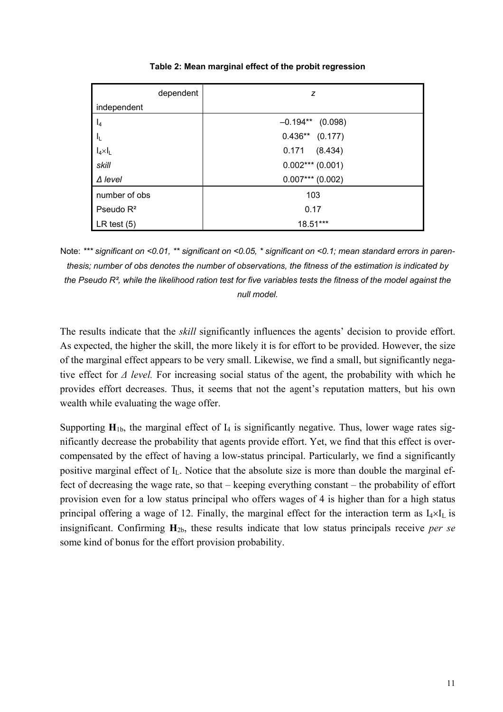| dependent        | z                    |
|------------------|----------------------|
| independent      |                      |
| $\mathsf{I}_4$   | $-0.194**$ (0.098)   |
| -lu              | $0.436**$<br>(0.177) |
| $I_4 \times I_L$ | 0.171<br>(8.434)     |
| skill            | $0.002***$ (0.001)   |
| $\Delta$ level   | $0.007***$ (0.002)   |
| number of obs    | 103                  |
| Pseudo $R^2$     | 0.17                 |
| LR test $(5)$    | 18.51***             |

**Table 2: Mean marginal effect of the probit regression** 

Note: *\*\*\* significant on <0.01, \*\* significant on <0.05, \* significant on <0.1; mean standard errors in parenthesis; number of obs denotes the number of observations, the fitness of the estimation is indicated by the Pseudo R², while the likelihood ration test for five variables tests the fitness of the model against the null model.* 

The results indicate that the *skill* significantly influences the agents' decision to provide effort. As expected, the higher the skill, the more likely it is for effort to be provided. However, the size of the marginal effect appears to be very small. Likewise, we find a small, but significantly negative effect for *∆ level.* For increasing social status of the agent, the probability with which he provides effort decreases. Thus, it seems that not the agent's reputation matters, but his own wealth while evaluating the wage offer.

Supporting  $H_{1b}$ , the marginal effect of  $I_4$  is significantly negative. Thus, lower wage rates significantly decrease the probability that agents provide effort. Yet, we find that this effect is overcompensated by the effect of having a low-status principal. Particularly, we find a significantly positive marginal effect of  $I_L$ . Notice that the absolute size is more than double the marginal effect of decreasing the wage rate, so that – keeping everything constant – the probability of effort provision even for a low status principal who offers wages of 4 is higher than for a high status principal offering a wage of 12. Finally, the marginal effect for the interaction term as  $I_4 \times I_L$  is insignificant. Confirming **H**2b, these results indicate that low status principals receive *per se* some kind of bonus for the effort provision probability.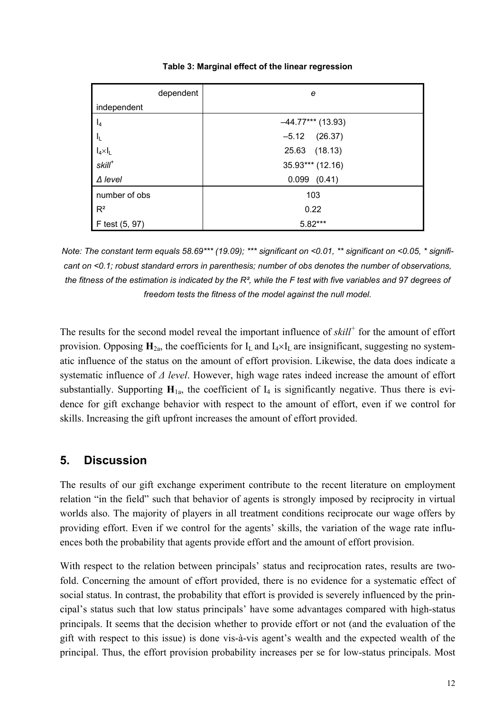| dependent        | е                   |
|------------------|---------------------|
| independent      |                     |
| $I_4$            | $-44.77***$ (13.93) |
| $I_{\rm L}$      | (26.37)<br>$-5.12$  |
| $I_4 \times I_L$ | 25.63<br>(18.13)    |
| $skill^*$        | 35.93*** (12.16)    |
| $\Delta$ level   | $0.099$ $(0.41)$    |
| number of obs    | 103                 |
| $R^2$            | 0.22                |
| F test (5, 97)   | 5.82***             |

**Table 3: Marginal effect of the linear regression** 

*Note: The constant term equals 58.69\*\*\* (19.09); \*\*\* significant on <0.01, \*\* significant on <0.05, \* significant on <0.1; robust standard errors in parenthesis; number of obs denotes the number of observations, the fitness of the estimation is indicated by the R², while the F test with five variables and 97 degrees of freedom tests the fitness of the model against the null model.* 

The results for the second model reveal the important influence of *skill<sup>+</sup>* for the amount of effort provision. Opposing  $\mathbf{H}_{2a}$ , the coefficients for  $I_L$  and  $I_4 \times I_L$  are insignificant, suggesting no systematic influence of the status on the amount of effort provision. Likewise, the data does indicate a systematic influence of *∆ level*. However, high wage rates indeed increase the amount of effort substantially. Supporting  $H_{1a}$ , the coefficient of  $I_4$  is significantly negative. Thus there is evidence for gift exchange behavior with respect to the amount of effort, even if we control for skills. Increasing the gift upfront increases the amount of effort provided.

#### **5. Discussion**

The results of our gift exchange experiment contribute to the recent literature on employment relation "in the field" such that behavior of agents is strongly imposed by reciprocity in virtual worlds also. The majority of players in all treatment conditions reciprocate our wage offers by providing effort. Even if we control for the agents' skills, the variation of the wage rate influences both the probability that agents provide effort and the amount of effort provision.

With respect to the relation between principals' status and reciprocation rates, results are twofold. Concerning the amount of effort provided, there is no evidence for a systematic effect of social status. In contrast, the probability that effort is provided is severely influenced by the principal's status such that low status principals' have some advantages compared with high-status principals. It seems that the decision whether to provide effort or not (and the evaluation of the gift with respect to this issue) is done vis-à-vis agent's wealth and the expected wealth of the principal. Thus, the effort provision probability increases per se for low-status principals. Most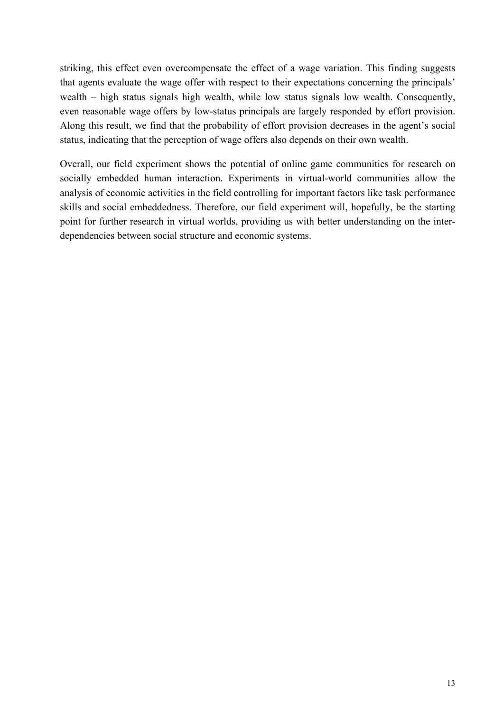striking, this effect even overcompensate the effect of a wage variation. This finding suggests that agents evaluate the wage offer with respect to their expectations concerning the principals' wealth – high status signals high wealth, while low status signals low wealth. Consequently, even reasonable wage offers by low-status principals are largely responded by effort provision. Along this result, we find that the probability of effort provision decreases in the agent's social status, indicating that the perception of wage offers also depends on their own wealth.

Overall, our field experiment shows the potential of online game communities for research on socially embedded human interaction. Experiments in virtual-world communities allow the analysis of economic activities in the field controlling for important factors like task performance skills and social embeddedness. Therefore, our field experiment will, hopefully, be the starting point for further research in virtual worlds, providing us with better understanding on the interdependencies between social structure and economic systems.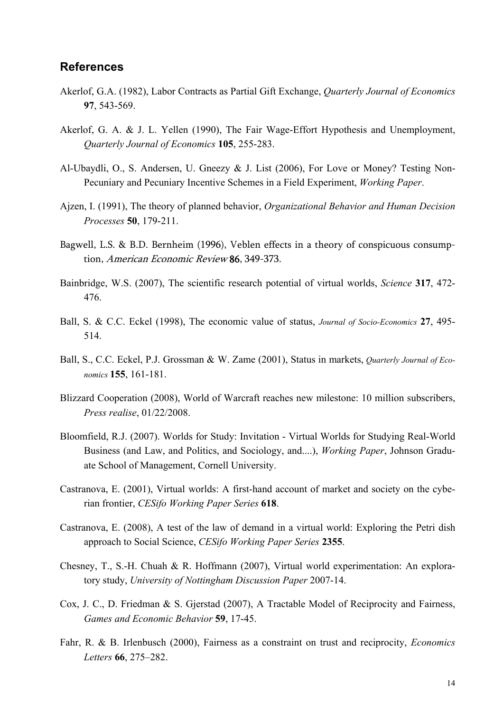#### **References**

- Akerlof, G.A. (1982), Labor Contracts as Partial Gift Exchange, *Quarterly Journal of Economics* **97**, 543-569.
- Akerlof, G. A. & J. L. Yellen (1990), The Fair Wage-Effort Hypothesis and Unemployment, *Quarterly Journal of Economics* **105**, 255-283.
- Al-Ubaydli, O., S. Andersen, U. Gneezy & J. List (2006), For Love or Money? Testing Non-Pecuniary and Pecuniary Incentive Schemes in a Field Experiment, *Working Paper*.
- Ajzen, I. (1991), The theory of planned behavior, *Organizational Behavior and Human Decision Processes* **50**, 179-211.
- Bagwell, L.S. & B.D. Bernheim (1996), Veblen effects in a theory of conspicuous consumption, American Economic Review 86, 349-373.
- Bainbridge, W.S. (2007), The scientific research potential of virtual worlds, *Science* **317**, 472- 476.
- Ball, S. & C.C. Eckel (1998), The economic value of status, *Journal of Socio-Economics* **27**, 495- 514.
- Ball, S., C.C. Eckel, P.J. Grossman & W. Zame (2001), Status in markets, *Quarterly Journal of Economics* **155**, 161-181.
- Blizzard Cooperation (2008), World of Warcraft reaches new milestone: 10 million subscribers, *Press realise*, 01/22/2008.
- Bloomfield, R.J. (2007). Worlds for Study: Invitation Virtual Worlds for Studying Real-World Business (and Law, and Politics, and Sociology, and....), *Working Paper*, Johnson Graduate School of Management, Cornell University.
- Castranova, E. (2001), Virtual worlds: A first-hand account of market and society on the cyberian frontier, *CESifo Working Paper Series* **618**.
- Castranova, E. (2008), A test of the law of demand in a virtual world: Exploring the Petri dish approach to Social Science, *CESifo Working Paper Series* **2355**.
- Chesney, T., S.-H. Chuah & R. Hoffmann (2007), Virtual world experimentation: An exploratory study, *University of Nottingham Discussion Paper* 2007-14.
- Cox, J. C., D. Friedman & S. Gjerstad (2007), A Tractable Model of Reciprocity and Fairness, *Games and Economic Behavior* **59**, 17-45.
- Fahr, R. & B. Irlenbusch (2000), Fairness as a constraint on trust and reciprocity, *Economics Letters* **66**, 275–282.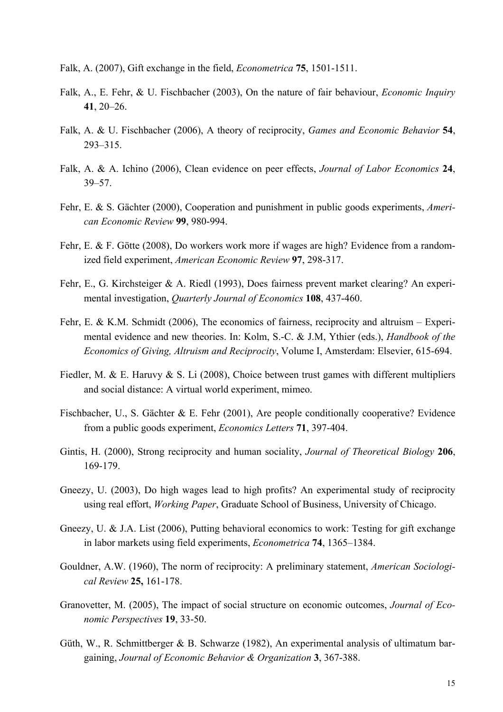- Falk, A. (2007), Gift exchange in the field, *Econometrica* **75**, 1501-1511.
- Falk, A., E. Fehr, & U. Fischbacher (2003), On the nature of fair behaviour, *Economic Inquiry* **41**, 20–26.
- Falk, A. & U. Fischbacher (2006), A theory of reciprocity, *Games and Economic Behavior* **54**, 293–315.
- Falk, A. & A. Ichino (2006), Clean evidence on peer effects, *Journal of Labor Economics* **24**, 39–57.
- Fehr, E. & S. Gächter (2000), Cooperation and punishment in public goods experiments, *American Economic Review* **99**, 980-994.
- Fehr, E. & F. Götte (2008), Do workers work more if wages are high? Evidence from a randomized field experiment, *American Economic Review* **97**, 298-317.
- Fehr, E., G. Kirchsteiger & A. Riedl (1993), Does fairness prevent market clearing? An experimental investigation, *Quarterly Journal of Economics* **108**, 437-460.
- Fehr, E. & K.M. Schmidt (2006), The economics of fairness, reciprocity and altruism Experimental evidence and new theories. In: Kolm, S.-C. & J.M, Ythier (eds.), *Handbook of the Economics of Giving, Altruism and Reciprocity*, Volume I, Amsterdam: Elsevier, 615-694.
- Fiedler, M. & E. Haruvy & S. Li (2008), Choice between trust games with different multipliers and social distance: A virtual world experiment, mimeo.
- Fischbacher, U., S. Gächter & E. Fehr (2001), Are people conditionally cooperative? Evidence from a public goods experiment, *Economics Letters* **71**, 397-404.
- Gintis, H. (2000), Strong reciprocity and human sociality, *Journal of Theoretical Biology* **206**, 169-179.
- Gneezy, U. (2003), Do high wages lead to high profits? An experimental study of reciprocity using real effort, *Working Paper*, Graduate School of Business, University of Chicago.
- Gneezy, U. & J.A. List (2006), Putting behavioral economics to work: Testing for gift exchange in labor markets using field experiments, *Econometrica* **74**, 1365–1384.
- Gouldner, A.W. (1960), The norm of reciprocity: A preliminary statement, *American Sociological Review* **25,** 161-178.
- Granovetter, M. (2005), The impact of social structure on economic outcomes, *Journal of Economic Perspectives* **19**, 33-50.
- Güth, W., R. Schmittberger & B. Schwarze (1982), An experimental analysis of ultimatum bargaining, *Journal of Economic Behavior & Organization* **3**, 367-388.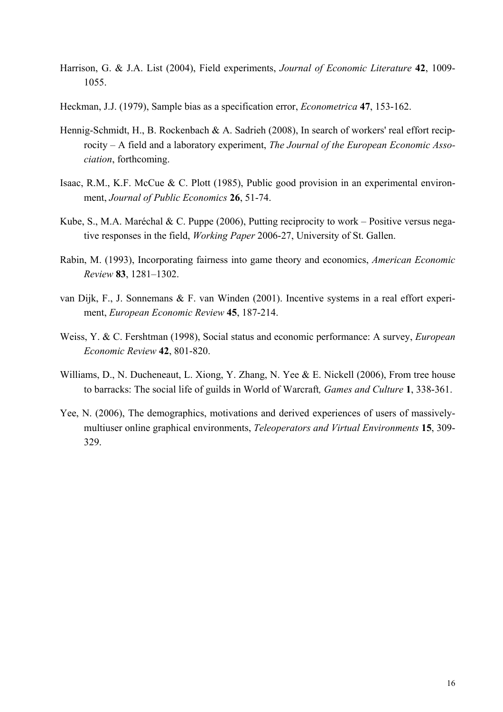- Harrison, G. & J.A. List (2004), Field experiments, *Journal of Economic Literature* **42**, 1009- 1055.
- Heckman, J.J. (1979), Sample bias as a specification error, *Econometrica* **47**, 153-162.
- Hennig-Schmidt, H., B. Rockenbach & A. Sadrieh (2008), In search of workers' real effort reciprocity – A field and a laboratory experiment, *The Journal of the European Economic Association*, forthcoming.
- Isaac, R.M., K.F. McCue & C. Plott (1985), Public good provision in an experimental environment, *Journal of Public Economics* **26**, 51-74.
- Kube, S., M.A. Maréchal & C. Puppe (2006), Putting reciprocity to work Positive versus negative responses in the field, *Working Paper* 2006-27, University of St. Gallen.
- Rabin, M. (1993), Incorporating fairness into game theory and economics, *American Economic Review* **83**, 1281–1302.
- van Dijk, F., J. Sonnemans & F. van Winden (2001). Incentive systems in a real effort experiment, *European Economic Review* **45**, 187-214.
- Weiss, Y. & C. Fershtman (1998), Social status and economic performance: A survey, *European Economic Review* **42**, 801-820.
- Williams, D., N. Ducheneaut, L. Xiong, Y. Zhang, N. Yee & E. Nickell (2006), From tree house to barracks: The social life of guilds in World of Warcraft*, Games and Culture* **1**, 338-361.
- Yee, N. (2006), The demographics, motivations and derived experiences of users of massivelymultiuser online graphical environments, *Teleoperators and Virtual Environments* **15**, 309- 329.